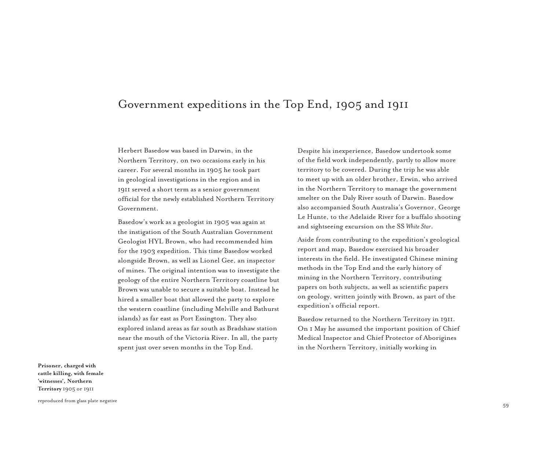## Government expeditions in the Top End, 1905 and 1911

Herbert Basedow was based in Darwin, in the Northern Territory, on two occasions early in his career. For several months in 1905 he took part in geological investigations in the region and in 1911 served a short term as a senior government official for the newly established Northern Territory Government.

Basedow's work as a geologist in 1905 was again at the instigation of the South Australian Government Geologist HYL Brown, who had recommended him for the 1903 expedition. This time Basedow worked alongside Brown, as well as Lionel Gee, an inspector of mines. The original intention was to investigate the geology of the entire Northern Territory coastline but Brown was unable to secure a suitable boat. Instead he hired a smaller boat that allowed the party to explore the western coastline (including Melville and Bathurst islands) as far east as Port Essington. They also explored inland areas as far south as Bradshaw station near the mouth of the Victoria River. In all, the party spent just over seven months in the Top End.

Despite his inexperience, Basedow undertook some of the field work independently, partly to allow more territory to be covered. During the trip he was able to meet up with an older brother, Erwin, who arrived in the Northern Territory to manage the government smelter on the Daly River south of Darwin. Basedow also accompanied South Australia's Governor, George Le Hunte, to the Adelaide River for a buffalo shooting and sightseeing excursion on the SS *White Star*.

Aside from contributing to the expedition's geological report and map, Basedow exercised his broader interests in the field. He investigated Chinese mining methods in the Top End and the early history of mining in the Northern Territory, contributing papers on both subjects, as well as scientific papers on geology, written jointly with Brown, as part of the expedition's official report.

Basedow returned to the Northern Territory in 1911. On 1 May he assumed the important position of Chief Medical Inspector and Chief Protector of Aborigines in the Northern Territory, initially working in

**Prisoner, charged with cattle killing, with female 'witnesses', Northern Territory** 1905 or 1911

reproduced from glass plate negative